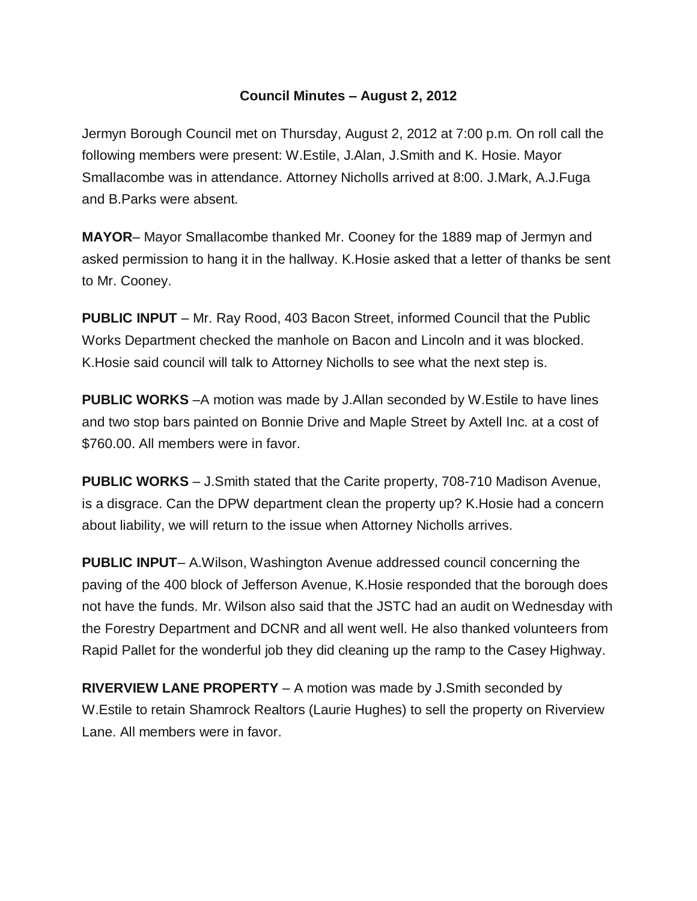## **Council Minutes – August 2, 2012**

Jermyn Borough Council met on Thursday, August 2, 2012 at 7:00 p.m. On roll call the following members were present: W.Estile, J.Alan, J.Smith and K. Hosie. Mayor Smallacombe was in attendance. Attorney Nicholls arrived at 8:00. J.Mark, A.J.Fuga and B.Parks were absent.

**MAYOR**– Mayor Smallacombe thanked Mr. Cooney for the 1889 map of Jermyn and asked permission to hang it in the hallway. K.Hosie asked that a letter of thanks be sent to Mr. Cooney.

**PUBLIC INPUT** – Mr. Ray Rood, 403 Bacon Street, informed Council that the Public Works Department checked the manhole on Bacon and Lincoln and it was blocked. K.Hosie said council will talk to Attorney Nicholls to see what the next step is.

**PUBLIC WORKS** –A motion was made by J.Allan seconded by W.Estile to have lines and two stop bars painted on Bonnie Drive and Maple Street by Axtell Inc. at a cost of \$760.00. All members were in favor.

**PUBLIC WORKS** – J.Smith stated that the Carite property, 708-710 Madison Avenue, is a disgrace. Can the DPW department clean the property up? K.Hosie had a concern about liability, we will return to the issue when Attorney Nicholls arrives.

**PUBLIC INPUT**– A.Wilson, Washington Avenue addressed council concerning the paving of the 400 block of Jefferson Avenue, K.Hosie responded that the borough does not have the funds. Mr. Wilson also said that the JSTC had an audit on Wednesday with the Forestry Department and DCNR and all went well. He also thanked volunteers from Rapid Pallet for the wonderful job they did cleaning up the ramp to the Casey Highway.

**RIVERVIEW LANE PROPERTY** – A motion was made by J.Smith seconded by W.Estile to retain Shamrock Realtors (Laurie Hughes) to sell the property on Riverview Lane. All members were in favor.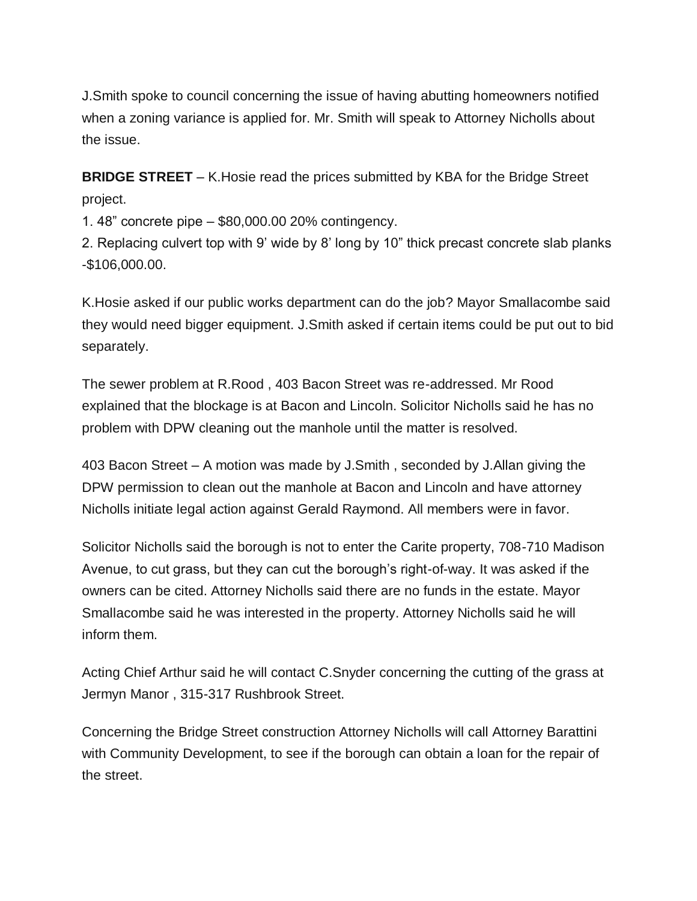J.Smith spoke to council concerning the issue of having abutting homeowners notified when a zoning variance is applied for. Mr. Smith will speak to Attorney Nicholls about the issue.

**BRIDGE STREET** – K.Hosie read the prices submitted by KBA for the Bridge Street project.

1. 48" concrete pipe – \$80,000.00 20% contingency.

2. Replacing culvert top with 9' wide by 8' long by 10" thick precast concrete slab planks -\$106,000.00.

K.Hosie asked if our public works department can do the job? Mayor Smallacombe said they would need bigger equipment. J.Smith asked if certain items could be put out to bid separately.

The sewer problem at R.Rood , 403 Bacon Street was re-addressed. Mr Rood explained that the blockage is at Bacon and Lincoln. Solicitor Nicholls said he has no problem with DPW cleaning out the manhole until the matter is resolved.

403 Bacon Street – A motion was made by J.Smith , seconded by J.Allan giving the DPW permission to clean out the manhole at Bacon and Lincoln and have attorney Nicholls initiate legal action against Gerald Raymond. All members were in favor.

Solicitor Nicholls said the borough is not to enter the Carite property, 708-710 Madison Avenue, to cut grass, but they can cut the borough's right-of-way. It was asked if the owners can be cited. Attorney Nicholls said there are no funds in the estate. Mayor Smallacombe said he was interested in the property. Attorney Nicholls said he will inform them.

Acting Chief Arthur said he will contact C.Snyder concerning the cutting of the grass at Jermyn Manor , 315-317 Rushbrook Street.

Concerning the Bridge Street construction Attorney Nicholls will call Attorney Barattini with Community Development, to see if the borough can obtain a loan for the repair of the street.